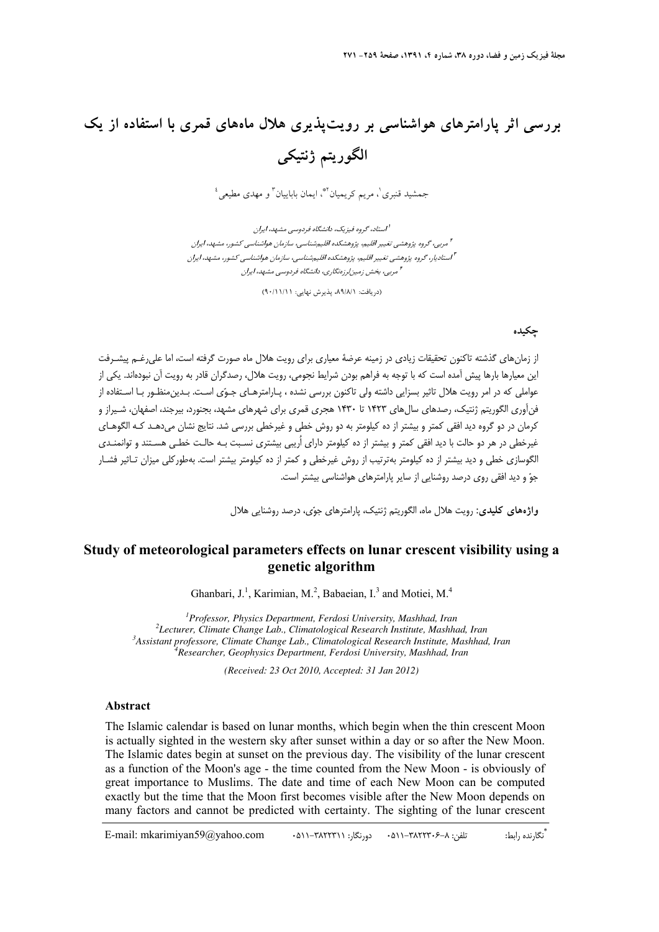## **بررسي اثر پارامترهاي هواشناسي بر رويتپذيري هلال ماههاي قمري با استفاده از يك الگوريتم ژنتيكي**

جمشيد قنبري'، مريم كريميان ٌّ، ايمان باباييان ّ و مهدي مطيعي <sup>؛</sup>

استاد، گروه فيزيك، دانشگاه فردوسي مشهد، ايران **<sup>1</sup>** مربي، گروه پژوهشي تغيير اقليم، پژوهشكده اقليمشناسي، سازمان هواشناسي كشور، مشهد، ايران **<sup>2</sup>** استاديار، گروه پژوهشي تغيير اقليم، پژوهشكده اقليمشناسي، سازمان هواشناسي كشور، مشهد، ايران **<sup>3</sup>** مربي، بخش زمينلرزهنگاري، دانشگاه فردوسي مشهد، ايران **<sup>4</sup>**

(دريافت: ،89/8/1 پذيرش نهايي: 90/11/11)

## **چكيده**

از زمانهاي گذشته تاكنون تحقيقات زيادي در زمينه عرضة معياري براي رويت هلال ماه صورت گرفته است، اما عليرغـم پيشـرفت اين معيارها بارها پيش آمده است كه با توجه به فراهم بودن شرايط نجومي، رويت هلال، رصدگران قادر به رويت آن نبودهاند. يكي از عواملي كه در امر رويت هلال تاثير بسزايي داشته ولي تاكنون بررسي نشده ، پـارامترهـاي جـوي اسـت. بـدينمنظـور بـا اسـتفاده از فنآوري الگوريتم ژنتيك، رصدهاي سال هاي 1423 تا 1430 هجري قمري براي شهرهاي مشهد، بجنورد، بيرجند، اصفهان، شـيراز و كرمان در دو گروه ديد افقي كمتر و بيشتر از ده كيلومتر به دو روش خطي و غيرخطي بررسي شد. نتايج نشان ميدهـد كـه الگوهـاي غيرخطي در هر دو حالت با ديد افقي كمتر و بيشتر از ده كيلومتر داراي اُريبي بيشتري نسـبت بـه حالـت خطـي هسـتند و توانمنـدي الگوسازي خطي و ديد بيشتر از ده كيلومتر بهترتيب از روش غيرخطي و كمتر از ده كيلومتر بيشتر است. بهطوركلي ميزان تـاثير فشـار جو و ديد افقي روي درصد روشنايي از ساير پارامترهاي هواشناسي بيشتر است.

**واژههاي كليدي:** رويت هلال ماه، الگوريتم ژنتيك، پارامترهاي جوي، درصد روشنايي هلال

## **Study of meteorological parameters effects on lunar crescent visibility using a genetic algorithm**

Ghanbari, J.<sup>1</sup>, Karimian, M.<sup>2</sup>, Babaeian, I.<sup>3</sup> and Motiei, M.<sup>4</sup>

<sup>1</sup> Professor, Physics Department, Ferdosi University, Mashhad, Iran <sup>2</sup> Lecturer, Climata Change Lab, Climatalogical Bessexah Institute Mashha <sup>2</sup> Lecturer, Climate Change Lab., Climatological Research Institute, Mashhad, Iran *Assistant professore, Climate Change Lab., Climatological Research Institute, Mashhad, Iran 4 Researcher, Geophysics Department, Ferdosi University, Mashhad, Iran* 

*(Received: 23 Oct 2010, Accepted: 31 Jan 2012)* 

## **Abstract**

The Islamic calendar is based on lunar months, which begin when the thin crescent Moon is actually sighted in the western sky after sunset within a day or so after the New Moon. The Islamic dates begin at sunset on the previous day. The visibility of the lunar crescent as a function of the Moon's age - the time counted from the New Moon - is obviously of great importance to Muslims. The date and time of each New Moon can be computed exactly but the time that the Moon first becomes visible after the New Moon depends on many factors and cannot be predicted with certainty. The sighting of the lunar crescent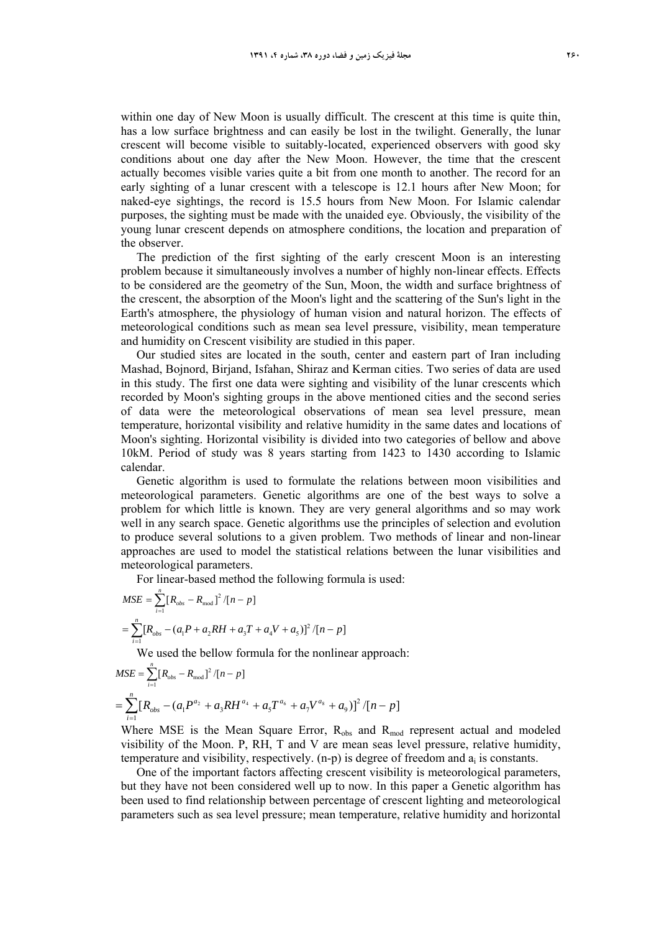within one day of New Moon is usually difficult. The crescent at this time is quite thin, has a low surface brightness and can easily be lost in the twilight. Generally, the lunar crescent will become visible to suitably-located, experienced observers with good sky conditions about one day after the New Moon. However, the time that the crescent actually becomes visible varies quite a bit from one month to another. The record for an early sighting of a lunar crescent with a telescope is 12.1 hours after New Moon; for naked-eye sightings, the record is 15.5 hours from New Moon. For Islamic calendar purposes, the sighting must be made with the unaided eye. Obviously, the visibility of the young lunar crescent depends on atmosphere conditions, the location and preparation of the observer.

The prediction of the first sighting of the early crescent Moon is an interesting problem because it simultaneously involves a number of highly non-linear effects. Effects to be considered are the geometry of the Sun, Moon, the width and surface brightness of the crescent, the absorption of the Moon's light and the scattering of the Sun's light in the Earth's atmosphere, the physiology of human vision and natural horizon. The effects of meteorological conditions such as mean sea level pressure, visibility, mean temperature and humidity on Crescent visibility are studied in this paper.

Our studied sites are located in the south, center and eastern part of Iran including Mashad, Bojnord, Birjand, Isfahan, Shiraz and Kerman cities. Two series of data are used in this study. The first one data were sighting and visibility of the lunar crescents which recorded by Moon's sighting groups in the above mentioned cities and the second series of data were the meteorological observations of mean sea level pressure, mean temperature, horizontal visibility and relative humidity in the same dates and locations of Moon's sighting. Horizontal visibility is divided into two categories of bellow and above 10kM. Period of study was 8 years starting from 1423 to 1430 according to Islamic calendar.

Genetic algorithm is used to formulate the relations between moon visibilities and meteorological parameters. Genetic algorithms are one of the best ways to solve a problem for which little is known. They are very general algorithms and so may work well in any search space. Genetic algorithms use the principles of selection and evolution to produce several solutions to a given problem. Two methods of linear and non-linear approaches are used to model the statistical relations between the lunar visibilities and meteorological parameters.

For linear-based method the following formula is used:

$$
MSE = \sum_{i=1}^{n} [R_{obs} - R_{mod}]^{2} / [n-p]
$$
  
= 
$$
\sum_{i=1}^{n} [R_{obs} - (a_{1}P + a_{2}RH + a_{3}T + a_{4}V + a_{5})]^{2} / [n-p]
$$

*n*

We used the bellow formula for the nonlinear approach:

$$
MSE = \sum_{i=1}^{n} [R_{obs} - R_{mod}]^{2} / [n-p]
$$
  
= 
$$
\sum_{i=1}^{n} [R_{obs} - (a_{1}P^{a_{2}} + a_{3}RH^{a_{4}} + a_{5}T^{a_{6}} + a_{7}V^{a_{8}} + a_{9})]^{2} / [n-p]
$$

Where MSE is the Mean Square Error,  $R_{obs}$  and  $R_{mod}$  represent actual and modeled visibility of the Moon. P, RH, T and V are mean seas level pressure, relative humidity, temperature and visibility, respectively.  $(n-p)$  is degree of freedom and  $a_i$  is constants.

One of the important factors affecting crescent visibility is meteorological parameters, but they have not been considered well up to now. In this paper a Genetic algorithm has been used to find relationship between percentage of crescent lighting and meteorological parameters such as sea level pressure; mean temperature, relative humidity and horizontal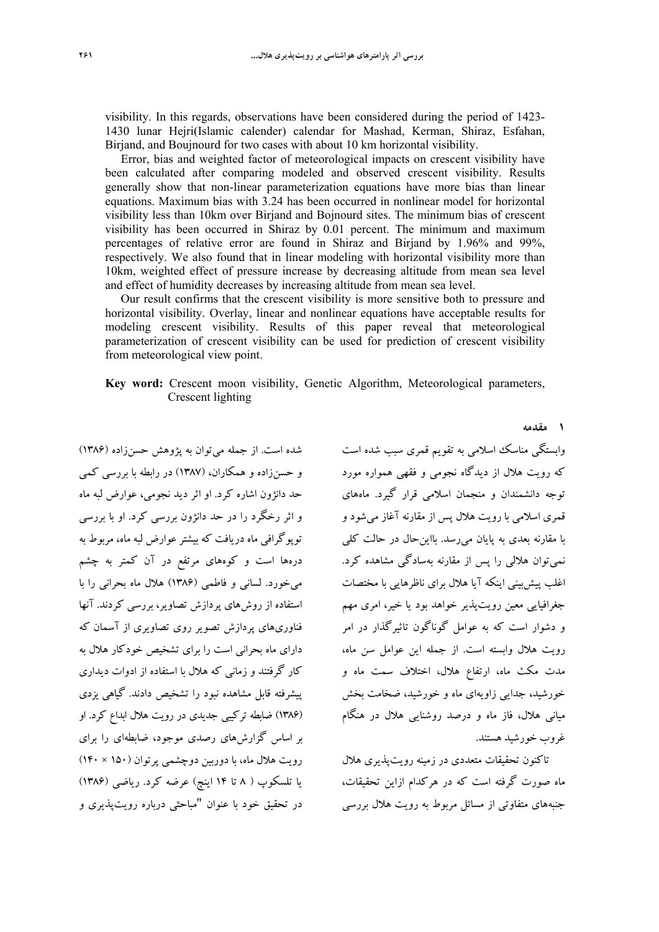visibility. In this regards, observations have been considered during the period of 1423- 1430 lunar Hejri(Islamic calender) calendar for Mashad, Kerman, Shiraz, Esfahan, Birjand, and Boujnourd for two cases with about 10 km horizontal visibility.

Error, bias and weighted factor of meteorological impacts on crescent visibility have been calculated after comparing modeled and observed crescent visibility. Results generally show that non-linear parameterization equations have more bias than linear equations. Maximum bias with 3.24 has been occurred in nonlinear model for horizontal visibility less than 10km over Birjand and Bojnourd sites. The minimum bias of crescent visibility has been occurred in Shiraz by 0.01 percent. The minimum and maximum percentages of relative error are found in Shiraz and Birjand by 1.96% and 99%, respectively. We also found that in linear modeling with horizontal visibility more than 10km, weighted effect of pressure increase by decreasing altitude from mean sea level and effect of humidity decreases by increasing altitude from mean sea level.

Our result confirms that the crescent visibility is more sensitive both to pressure and horizontal visibility. Overlay, linear and nonlinear equations have acceptable results for modeling crescent visibility. Results of this paper reveal that meteorological parameterization of crescent visibility can be used for prediction of crescent visibility from meteorological view point.

**Key word:** Crescent moon visibility, Genetic Algorithm, Meteorological parameters, Crescent lighting

شده است. از جمله ميتوان به پژوهش حسنزاده (1386) و حسنزاده و همكاران، (1387) در رابطه با بررسي كمي حد دانژون اشاره كرد. او اثر ديد نجومي، عوارض لبه ماه و اثر رخگرد را در حد دانژون بررسي كرد. او با بررسي توپوگرافي ماه دريافت كه بيشترعوارض لبه ماه، مربوط به درهها است و كوههاي مرتفع در آن كمتر به چشم ميخورد. لساني و فاطمي (1386) هلال ماه بحراني را با استفاده از روشهاي پردازش تصاوير، بررسي كردند. آنها فناوريهاي پردازش تصوير روي تصاويري از آسمان كه داراي ماه بحراني است را براي تشخيص خودكار هلال به كار گرفتند و زماني كه هلال با استفاده از ادوات ديداري پيشرفته قابل مشاهده نبود را تشخيص دادند. گياهي يزدي (1386) ضابطه تركيبي جديدي در رويت هلال ابداع كرد. او بر اساس گزارشهاي رصدي موجود، ضابطه اي را براي رويت هلال ماه، با دوربين دوچشمي پرتوان (150 × 140) يا تلسكوپ ( 8 تا 14 اينچ) عرضه كرد. رياضي (1386) در تحقيق خود با عنوان "مباحثي درباره رويتپذيري و

وابستگي مناسك اسلامي به تقويم قمري سبب شده است كه رويت هلال از ديدگاه نجومي و فقهي همواره مورد توجه دانشمندان و منجمان اسلامي قرار گيرد. ماههاي قمري اسلامي با رويت هلال پس از مقارنه آغاز ميشود و با مقارنه بعدي به پايان ميرسد. بااينحال در حالت كلي نميتوان هلالي را پس از مقارنه بهسادگي مشاهده كرد. اغلب پيشبيني اينكه آيا هلال براي ناظرهايي با مختصات جغرافيايي معين رويتپذير خواهد بود يا خير، امري مهم و دشوار است كه به عوامل گوناگون تاثيرگذار در امر رويت هلال وابسته است. از جمله اين عوامل سن ماه، مدت مكث ماه، ارتفاع هلال، اختلاف سمت ماه و خورشيد، جدايي زاويهاي ماه و خورشيد، ضخامت بخش مياني هلال، فاز ماه و درصد روشنايي هلال در هنگام غروب خورشيد هستند.

**1 مقدمه** 

تاكنون تحقيقات متعددي در زمينه رويتپذيري هلال ماه صورت گرفته است كه در هركدام ازاين تحقيقات، جنبههاي متفاوتي از مسائل مربوط به رويت هلال بررسي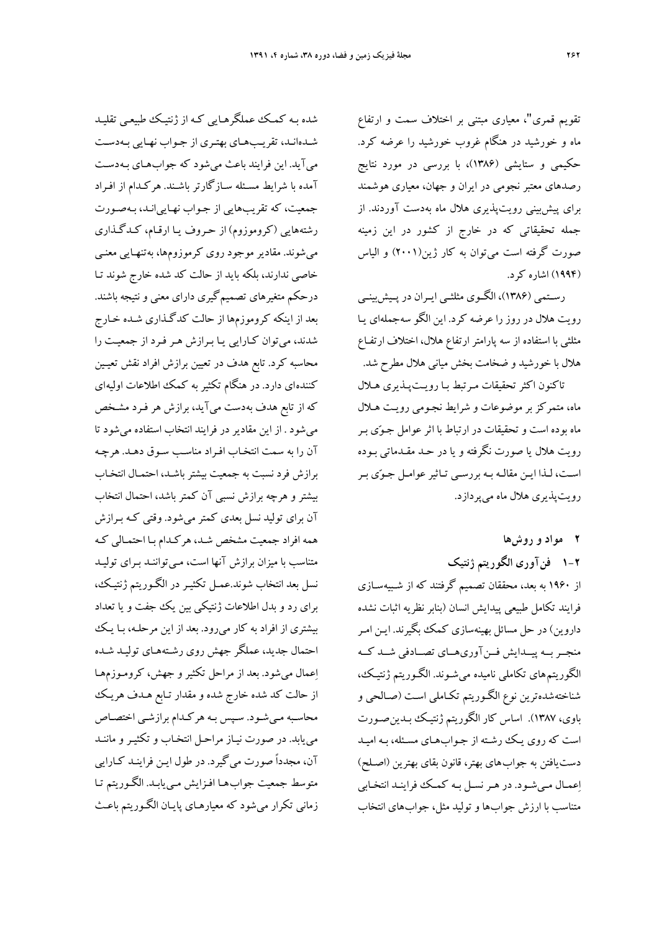تقويم قمري"، معياري مبتني بر اختلاف سمت و ارتفاع ماه و خورشيد در هنگام غروب خورشيد را عرضه كرد. حكيمي و ستايشي (1386)، با بررسي در مورد نتايج رصدهاي معتبر نجومي در ايران و جهان، معياري هوشمند براي پيشبيني رويتپذيري هلال ماه بهدست آوردند. از جمله تحقيقاتي كه در خارج از كشور در اين زمينه صورت گرفته است ميتوان به كار ژين(2001) و الياس (1994) اشاره كرد.

رسـتمي (1386)، الگـوي مثلثـي ايـران در پـيشبينـي رويت هلال در روز را عرضه كرد. اين الگو سهجملهاي يـا مثلثي با استفاده از سه پارامتر ارتفاع هلال، اختلاف ارتفـاع هلال با خورشيد و ضخامت بخش مياني هلال مطرح شد.

تاكنون اكثرتحقيقات مـرتبط بـا رويـتپـذيري هـلال ماه، متمركز بر موضوعات و شرايط نجـومي رويـت هـلال ماه بوده است و تحقيقات در ارتباط با اثر عوامل جـوي بـر رويت هلال يا صورت نگرفته و يا در حـد مقـدماتي بـوده اسـت، لـذا ايـن مقالـه بـه بررسـي تـاثيرعوامـل جـوي بـر رويتپذيري هلال ماه ميپردازد.

**2 مواد و روشها** 

**1-2 فنآوري الگوريتم ژنتيك**  از 1960 به بعد، محققان تصميم گرفتند كه از شـبيهسـازي فرايند تكامل طبيعي پيدايش انسان (بنابر نظريه اثبات نشده داروين) در حل مسائل بهينهسازي كمك بگيرند. ايـن امـر منجــربــه پيــدايش فــنآوريهــاي تصــادفي شــد كــه الگوريتم هاي تكاملي ناميده ميشـوند. الگـوريتم ژنتيـك، شناختهشدهترين نوع الگـوريتم تكـاملي اسـت (صـالحي و باوي، 1387). اساس كار الگوريتم ژنتيـك بـدينصـورت است كه روي يـك رشـته از جـوابهـاي مسـئله، بـه اميـد دستيافتن به جواب هاي بهتر، قانون بقاي بهترين (اصـلح) اعمـال مـيشـود. در هـرنسـل بـه كمـك فراينـد انتخـابي متناسب با ارزش جواب ها و توليد مثل، جوابهاي انتخاب

شده بـه كمـك عملگرهـايي كـه از ژنتيـك طبيعـي تقليـد شـدهانـد، تقريـبهـاي بهتـري از جـواب نهـايي بـهدسـت ميآيد. اين فرايند باعث ميشود كه جوابهـاي بـهدسـت آمده با شرايط مسـئله سـازگارتر باشـند. هركـدام از افـراد جمعيت، كه تقريبهايي از جـواب نهـايي انـد، بـهصـورت رشتههايي (كروموزوم) از حـروف يـا ارقـام، كـدگـذاري ميشوند. مقادير موجود روي كرموزومها، بهتنهـايي معنـي خاصي ندارند، بلكه بايد از حالت كد شده خارج شوند تـا درحكم متغيرهاي تصميمگيري داراي معني و نتيجه باشند. بعد از اينكه كروموزمها از حالت كدگـذاري شـده خـارج شدند، ميتوان كـارايي يـا بـرازش هـر فـرد از جمعيـت را محاسبه كرد. تابع هدف در تعيين برازش افراد نقش تعيـين كننده اي دارد. در هنگام تكثير به كمك اطلاعات اوليه اي كه از تابع هدف بهدست ميآيد، برازش هر فـرد مشـخص ميشود . از اين مقادير در فرايند انتخاب استفاده ميشود تا آن را به سمت انتخـاب افـراد مناسـب سـوق دهـد . هرچـه برازش فرد نسبت به جمعيت بيشتر باشـد، احتمـال انتخـاب بيشتر و هرچه برازش نسبي آن كمتر باشد، احتمال انتخاب آن براي توليد نسل بعدي كمترميشود. وقتي كـه بـرازش همه افراد جمعيت مشخص شـد، هركـدام بـا احتمـالي كـه متناسب با ميزان برازش آنها است، مـيتواننـد بـراي توليـد نسل بعد انتخاب شوند.عمـل تكثيـر در الگـوريتم ژنتيـك، براي رد و بدل اطلاعات ژنتيكي بين يك جفت و يا تعداد بيشتري از افراد به كار ميرود. بعد از اين مرحلـه، بـا يـك احتمال جديد، عملگر جهش روي رشـتههـاي توليـد شـده اعمال ميشود. بعد از مراحل تكثير و جهش، كرومـوزمهـا از حالت كد شده خارج شده و مقدار تـابع هـدف هريـك محاسـبه مـيشـود. سـپس بـه هركـدام برازشـي اختصـاص مييابد. در صورت نيـاز مراحـل انتخـاب و تكثيـر و ماننـد آن، مجدداً صورت ميگيرد. در طول ايـن فراينـد كـارايي متوسط جمعيت جواب هـا افـزايش مـييابـد. الگـوريتم تـا زماني تكرار ميشود كه معيارهـاي پايـان الگـوريتم باعـث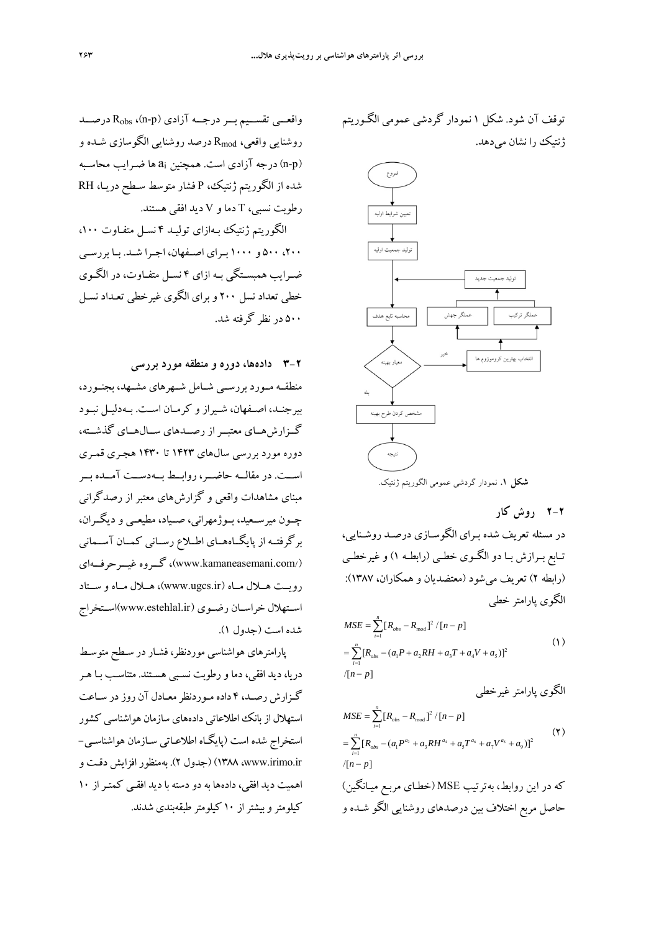واقعـــي تقســيم بـــر درجـــه آزادي (n-p)، R<sub>obs</sub> درصـــد روشنايي واقعي، Rmod درصد روشنايي الگوسازي شـده و (n-p) درجه آزادي است. همچنين ai ها ضـرايب محاسـبه شده از الگوريتم ژنتيك، P فشار متوسط سـطح دريـا، RH رطوبت نسبي، T دما و V ديد افقي هستند.

الگوريتم ژنتيك بـهازاي توليـد 4 نسـل متفـاوت ،100 ،200 500 و 1000 بـراي اصـفهان، اجـرا شـد. بـا بررسـي ضـرايب همبسـتگي بـه ازاي 4 نسـل متفـاوت، در الگـوي خطي تعداد نسل 200 و براي الگوي غيرخطي تعـداد نسـل 500 در نظر گرفته شد.

**3-2 دادهها، دوره و منطقه مورد بررسي** 

منطقــه مــورد بررســي شــامل شــهرهاي مشــهد، بجنــورد، بيرجنـد، اصـفهان، شـيراز و كرمـان اسـت. بـهدليـل نبــود گــزارشهــاي معتبــراز رصــدهاي ســالهــاي گذشــته، دوره مورد بررسي سالهاي 1423 تا 1430 هجـري قمـري اســت. در مقالــه حاضــر، روابــط بــهدســت آمــده بــر مبناي مشاهدات واقعي و گزارشهاي معتبر از رصدگراني چــون ميرســعيد، بــوژمهراني، صــياد، مطيعــي و ديگــران، برگرفتــه از پايگــاههــاي اطــلاع رســاني كمــان آســماني غيــرحرفــهاي گــروه ،)www.kamaneasemani.com/) رويــت هــلال مــاه (ir.ugcs.www(، هــلال مــاه و ســتاد اســتهلال خراســان رضــوي (ir.estehlal.www(اســتخراج شده است (جدول 1).

پارامترهاي هواشناسي موردنظر، فشـاردر سـطح متوسـط دريا، ديد افقي، دماورطوبت نسـبي هسـتند. متناسـب بـا هـر گـزارش رصـد، 4 داده مـوردنظرمعـادل آن روزدر سـاعت استهلال از بانك اطلاعاتي دادههاي سازمان هواشناسي كشور استخراج شده است (پايگـاه اطلاعـاتي سـازمان هواشناسـي ir.irimo.www، 1388) (جدول 2). بهمنظورافزايش دقـت و اهميت ديد افقى، دادهها به دو دسته با ديد افقـي كمتـر از ١٠ كيلومتروبيشتراز 10 كيلومتر طبقهبندي شدند. توقف آن شود. شكل 1 نمودار گردشي عمومي الگـوريتم ژنتيك را نشان ميدهد.



در مسئله تعريف شده بـراي الگوسـازي درصـد روشـنايي، تـابع بـرازش بـا دو الگـوي خطـي (رابطـه 1) وغيرخطـي (رابطه 2) تعريف ميشود (معتضديان و همكاران، 1387):

$$
MSE = \sum_{i=1}^{n} [R_{obs} - R_{mod}]^{2} / [n-p]
$$
  
= 
$$
\sum_{i=1}^{n} [R_{obs} - (a_{1}P + a_{2}RH + a_{3}T + a_{4}V + a_{5})]^{2}
$$
  

$$
/[n-p]
$$
 (1)

الگوي پارامترغيرخطي

الگوي پارامتر خطي

$$
MSE = \sum_{i=1}^{n} [R_{obs} - R_{mod}]^{2} / [n - p]
$$
\n
$$
= \sum_{i=1}^{n} [R_{obs} - (a_{i}P^{a_{2}} + a_{3}RH^{a_{4}} + a_{5}T^{a_{6}} + a_{7}V^{a_{8}} + a_{9})]^{2}
$$
\n
$$
/[n - p]
$$
\n
$$
\sum_{i=1}^{n} \sum_{j=1}^{n} [R_{obs} - (a_{i}P^{a_{2}} + a_{3}RH^{a_{4}} + a_{5}T^{a_{6}} + a_{7}V^{a_{8}} + a_{9})]^{2}
$$
\n
$$
= \sum_{i=1}^{n} [R_{obs} - (a_{i}P^{a_{2}} + a_{3}RH^{a_{4}} + a_{5}T^{a_{6}} + a_{7}V^{a_{8}} + a_{9})]^{2}
$$
\n
$$
= \sum_{i=1}^{n} [R_{obs} - (a_{i}P^{a_{2}} + a_{3}RH^{a_{4}} + a_{5}T^{a_{6}} + a_{7}V^{a_{8}} + a_{9})]^{2}
$$
\n
$$
= \sum_{i=1}^{n} [R_{obs} - (a_{i}P^{a_{2}} + a_{3}RH^{a_{4}} + a_{5}T^{a_{6}} + a_{7}V^{a_{8}} + a_{9})]^{2}
$$
\n
$$
= \sum_{i=1}^{n} [R_{obs} - (a_{i}P^{a_{2}} + a_{3}RH^{a_{4}} + a_{5}T^{a_{6}} + a_{7}V^{a_{8}} + a_{9})]^{2}
$$
\n
$$
= \sum_{i=1}^{n} [R_{obs} - (a_{i}P^{a_{2}} + a_{3}RH^{a_{4}} + a_{5}T^{a_{6}} + a_{7}V^{a_{8}} + a_{9})]^{2}
$$

حاصل مربع اختلاف بين درصدهاي روشنايي الگو شـده و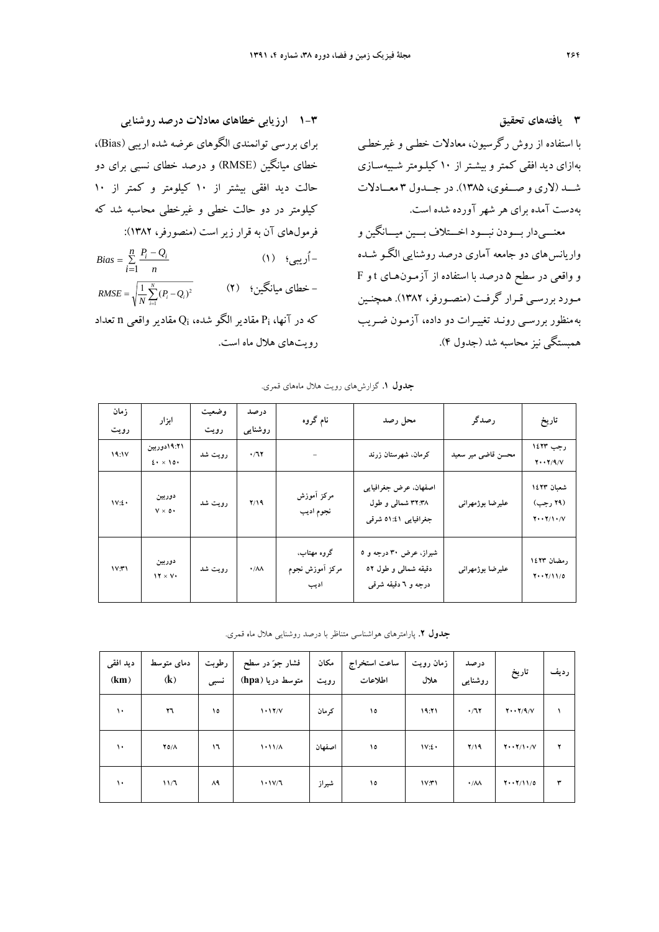**1-3 ارزيابي خطاهاي معادلات درصد روشنايي** 

فرمولهاي آن به قرار زيراست (منصورفر، 1382):

 $\sum_{i=1}^{n} \frac{r_i - r_i}{n}$  (۱)  $\sum_{i=1}^{n} \frac{r_i}{n}$ 

 $=\sqrt{\frac{1}{N}\sum\limits_{i=1}^{N}(P_i - Q_i)^2}$  (**٢**) - خطای میانگین **:** (

رويتهاي هلال ماه است.

كه در آنها، Pi مقادير الگو شده، Qi مقادير واقعي n تعداد

براي بررسي توانمندي الگوهاي عرضه شده اريبي (Bias(، خطاي ميانگين (RMSE (و درصد خطاي نسبي براي دو

حالت ديد افقي بيشتر از 10 كيلومتر و كمتر از 10 كيلومتر در دو حالت خطي و غيرخطي محاسبه شد كه

 $=\sum_{i=1}^{n} \frac{P_i - P_i}{P_i}$  $i=1$  *n*  $Bias = \sum_{i=1}^{n} \frac{P_i - Q_i}{P_i}$ 1

 $RMSE = \sqrt{\frac{1}{N} \sum_{i=1}^{N} (P_i - Q_i)^2}$ 

**3 يافتههاي تحقيق**  با استفاده از روش رگرسيون، معادلات خطـي و غيرخطـي به ازاي ديد افقي كمتر و بيشـتر از 10 كيلـومتر شـبيهسـازي شـــد (لاري و صـــفوي، 1385). در جـــدول 3 معـــادلات بهدست آمده براي هر شهرآورده شده است. معنـــي دار بـــودن نبـــود اخـــتلاف بـــين ميـــانگين و واريانس هاي دو جامعه آماري درصد روشنايي الگـو شـده

و واقعي در سطح 5 درصد با استفاده از آزمـون هـاي t و F مـورد بررسـي قـرار گرفـت (منصـورفر، 1382). همچنـين به منظور بررسـي رونـد تغييـرات دو داده، آزمـون ضـريب همبستگي نيزمحاسبه شد (جدول 4).

| زمان  |                         | وضعيت   | درصد                   | نام گروه                               |                                                                                   | رصدگر              |                                                     |
|-------|-------------------------|---------|------------------------|----------------------------------------|-----------------------------------------------------------------------------------|--------------------|-----------------------------------------------------|
| رويت  | ابزار                   | رويت    | روشنایی                |                                        | محل رصد                                                                           |                    | تاريخ                                               |
| 19:1V | ٬۲۱۹:۲۱دوربین<br>2.10.1 | رويت شد | $\cdot/77$             |                                        | كرمان. شهرستان زرند                                                               | محسن قاضی میر سعید | رجب ١٤٢٣<br>$Y \cdot Y / 9 / V$                     |
| 1V:2  | دوربين<br>$V \times 0$  | رويت شد | Y/Y                    | مركز أموزش<br>نجوم اديب                | اصفهان. عرض جغرافیایی<br>۳۲:۳۸ شمالی و طول<br>جغرافیایی ٤١:٤١ شرقی                | عليرضا بوژمهراني   | شعبان ١٤٢٣<br>(۲۹ رجب)<br>$Y \cdot Y / Y \cdot / V$ |
| 1V:Y1 | دوربين<br>$17 \times V$ | رويت شد | $\cdot/\lambda\lambda$ | گروه مهتاب.<br>مركز أموزش نجوم<br>اديب | شیراز، عرض ۳۰ درجه و ۵<br>دقیقه شمال <sub>ی</sub> و طول ٥٢<br>درجه و ٦ دقیقه شرقی | عليرضا بوژمهراني   | رمضان ١٤٢٣<br>$Y \cdot Y / 11 / 0$                  |

**جدول .1** گزارشهاي رويت هلال ماههاي قمري.

**جدول .2** پارامترهاي هواشناسي متناظر با درصد روشنايي هلال ماه قمري.

| ديد افقى<br>(km) | دمای متوسط<br>(k) | رطوبت<br>نسبى | فشار جوّ در سطح<br>متوسط دريا (hpa) | مكان<br>رويت | ساعت استخراج<br>اطلاعات | زمان رويت<br>هلال | درصد<br>روشنایبی       | تاريخ                     | ر ديف |
|------------------|-------------------|---------------|-------------------------------------|--------------|-------------------------|-------------------|------------------------|---------------------------|-------|
| ١٠               | ٢٦                | ١٥            | 1.17/V                              | کر مان       | ١٥                      | 19:71             | .77                    | $Y \cdot Y / 9 / V$       |       |
| ١٠               | $Y0/\Lambda$      | ۱٦            | 1.11/A                              | اصفهان       | ١٥                      | IV:2              | Y/19                   | $Y \cdot Y / Y \cdot / V$ |       |
| $\mathcal{L}$    | 11/7              | ۸۹            | 1.1V/T                              | شيراز        | ۱٥                      | V(T)              | $\cdot/\lambda\lambda$ | $Y \cdot Y / 11 / 0$      | ٣     |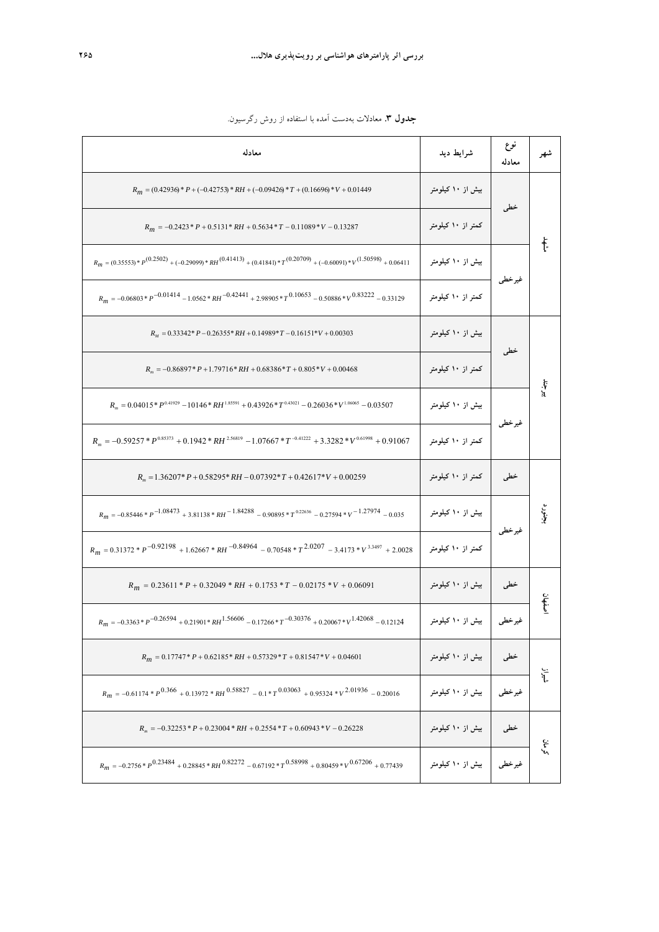| معادله                                                                                                                    | شرايط ديد                  | نوع<br>معادله                                                              | شهر       |
|---------------------------------------------------------------------------------------------------------------------------|----------------------------|----------------------------------------------------------------------------|-----------|
| $R_m = (0.42936) * P + (-0.42753) * RH + (-0.09426) * T + (0.16696) * V + 0.01449$                                        | بیش از ۱۰ کیلومتر          |                                                                            |           |
| $R_m = -0.2423 \cdot P + 0.5131 \cdot RH + 0.5634 \cdot T - 0.11089 \cdot V - 0.13287$                                    | کمتر از ۱۰ کیلومتر         |                                                                            |           |
| $R_m = (0.35553)*P^{(0.2502)} + (-0.29099)*R H^{(0.41413)} + (0.4184)*T^{(0.20709)} + (-0.60091)*V^{(1.50598)} + 0.06411$ | بیش از ۱۰ کیلومتر          |                                                                            | ŧ.        |
| $R_m = -0.06803 * p^{-0.01414} - 1.0562 * RH^{-0.42441} + 2.98905 * T^{0.10653} - 0.50886 * V^{0.83222} - 0.33129$        | کمتر از ۱۰ کیلومتر         |                                                                            |           |
| $R_M = 0.33342^* P - 0.26355^* RH + 0.14989^*T - 0.16151^*V + 0.00303$                                                    | بیش از ۱۰ کیلومتر          |                                                                            |           |
| $R_m = -0.86897 * P + 1.79716 * RH + 0.68386 * T + 0.805 * V + 0.00468$                                                   | کمتر از ۱۰ کیلومتر         |                                                                            |           |
| $R_{\rm m} = 0.04015*P^{0.41929} - 10146*RH^{1.85591} + 0.43926*T^{0.43021} - 0.26036*V^{1.06065} - 0.03507$              | بیش از ۱۰ کیلومتر          |                                                                            | بيو<br>پو |
| $R_m = -0.59257 * P^{0.85373} + 0.1942 * RH^{2.56819} - 1.07667 * T^{-0.41222} + 3.3282 * V^{0.61998} + 0.91067$          | کمتر از ۱۰ کیلومتر         |                                                                            |           |
| $R_m = 1.36207$ * $P + 0.58295$ * $RH - 0.07392$ * $T + 0.42617$ * $V + 0.00259$                                          | کمتر از ۱۰ کیلومتر         | خطی                                                                        |           |
| $R_m = -0.85446 * p^{-1.08473} + 3.81138 * R_H^{-1.84288} - 0.90895 * T^{0.22636} - 0.27594 * V^{-1.27974} - 0.035$       | بیش از ۱۰ کیلومتر          |                                                                            | بأبي      |
| $R_m = 0.31372 * p^{-0.92198} + 1.62667 * RH^{-0.84964} - 0.70548 * T^{2.0207} - 3.4173 * V^{3.3497} + 2.0028$            | کمتر از ۱۰ کیلومتر         | خطى<br>غير خطي<br>خطى<br>غيرخطي<br>غير خطي<br>خطى<br>خطی<br>غير خطي<br>خطى |           |
| $R_m = 0.23611 * P + 0.32049 * RH + 0.1753 * T - 0.02175 * V + 0.06091$                                                   | بیش از ۱۰ کیلومتر          |                                                                            |           |
| $R_m = -0.3363 * p^{-0.26594} + 0.21901 * R_H^{1.56606} - 0.17266 * p^{-0.30376} + 0.20067 * v^{1.42068} - 0.12124$       | غیرخطی   بیش از ۱۰ کیلومتر |                                                                            |           |
| $R_m = 0.17747 * P + 0.62185 * RH + 0.57329 * T + 0.81547 * V + 0.04601$                                                  | بیش از ۱۰ کیلومتر          |                                                                            | نې<br>آ   |
| $R_m = -0.61174 * p^{0.366} + 0.13972 * RH^{0.58827} - 0.1 * p^{0.03063} + 0.95324 * v^{2.01936} - 0.20016$               | بیش از ۱۰ کیلومتر          |                                                                            |           |
| $R_m = -0.32253 * P + 0.23004 * RH + 0.2554 * T + 0.60943 * V - 0.26228$                                                  | بیش از ۱۰ کیلومتر          |                                                                            | گرمان     |
| $R_m = -0.2756 * p^{0.23484} + 0.28845 * R_H^{0.82272} - 0.67192 * T^{0.58998} + 0.80459 * v^{0.67206} + 0.77439$         | غیرخطی   بیش از ۱۰ کیلومتر |                                                                            |           |

**جدول .3** معادلات بهدست آمده با استفاده از روش رگرسيون.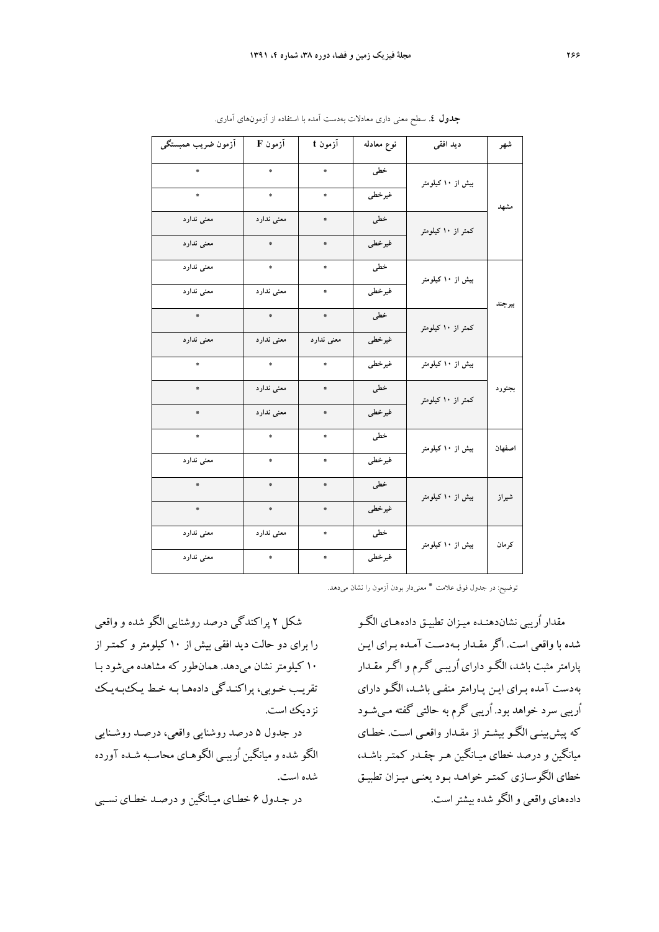| آزمون ضريب همبستگى                            | آزمون F                                    | آزمون t         | نوع معادله | دید افقی           | شهر    |
|-----------------------------------------------|--------------------------------------------|-----------------|------------|--------------------|--------|
| *                                             | $\clubsuit$                                | $\frac{1}{N}$   | خطی        | بیش از ۱۰ کیلومتر  |        |
| $\ddot{\Phi}$                                 | $\ddot{\pi}$                               | ₩               | غيرخطي     |                    | مشهد   |
| معنى ندارد                                    | معنى ندارد                                 | $\ddot{\pi}$    | خطی        | کمتر از ۱۰ کیلومتر |        |
| معنى ندارد                                    | *                                          | *               | غيرخطي     |                    |        |
| معنی ندارد                                    | 泰                                          | $\ddot{\pi}$    | خطی        | بیش از ۱۰ کیلومتر  |        |
| معنی ندارد                                    | معنى ندارد                                 | $\frac{16}{36}$ | غيرخطي     |                    | بيرجند |
| 泰                                             | $\mathcal{R}$                              | $\ddot{\Phi}$   | خطی        | کمتر از ۱۰ کیلومتر |        |
| معنى ندارد                                    | معنى ندارد                                 | معنى ندارد      | غيرخطي     |                    |        |
|                                               | 拳                                          |                 | غيرخطي     | بیش از ۱۰ کیلومتر  |        |
|                                               | معنى ندارد                                 | ₩               | خطی        | کمتر از ۱۰ کیلومتر | بجنورد |
|                                               | معنى ندارد                                 |                 | غيرخطي     |                    |        |
| *                                             | *                                          |                 | خطی        | بیش از ۱۰ کیلومتر  | اصفهان |
| معنى ندارد                                    | $\ast$                                     | ₩               | غيرخطي     |                    |        |
| <b>泰</b>                                      | $\begin{array}{c} \frac{1}{2} \end{array}$ | $\ddot{\pi}$    | خطی        | بیش از ۱۰ کیلومتر  | شيراز  |
| $\begin{array}{c c} \ast \\ \ast \end{array}$ | $\mathcal{R}$                              | $\ddot{\Phi}$   | غيرخطي     |                    |        |
| معنی ندارد                                    | معنی ندارد                                 | $\ast$          | خطی        | بیش از ۱۰ کیلومتر  | كرمان  |
| معنی ندارد                                    |                                            |                 | غيرخطي     |                    |        |

**جدول .4** سطح معني داري معادلات بهدست آمده با استفاده از آزمونهاي آماري.

توضيح: در جدول فوق علامت ٭ معنيدار بودن آزمون را نشان ميدهد.

مقدار اُريبي نشاندهنـده ميـزان تطبيـق دادههـاي الگـو شده با واقعي است. اگر مقـدار بـهدسـت آمـده بـراي ايـن پارامتر مثبت باشد، الگـو داراي اُريبـي گـرم و اگـر مقـدار بهدست آمده بـراي ايـن پـارامتر منفـي باشـد، الگـو داراي اُريبي سرد خواهد بود. اُريبي گرم به حالتي گفته مـيشـود كه پيشبينـي الگـو بيشـتر از مقـدار واقعـي اسـت. خطـاي ميانگين و درصد خطاي ميـانگين هـر چقـدر كمتـر باشـد، خطاي الگوسـازي كمتـر خواهـد بـود يعنـي ميـزان تطب يـق دادههاي واقعي و الگو شده بيشتراست.

شكل 2 پراكندگي درصد روشنايي الگو شده و واقعي را براي دو حالت ديد افقي بيش از 10 كيلومتر و كمتـر از 10 كيلومتر نشان ميدهد. همانطور كه مشاهده ميشود بـا تقريـب خـوبي، پراكنـدگي دادههـا بـه خـط يـكبـهيـك نزديك است.

در جدول 5 درصد روشنايي واقعي، درصـد روشـنايي الگو شده و ميانگين اُريبـي الگوهـاي محاسـبه شـده آورده شده است.

در جـدول 6 خطـاي ميـانگين و درصـد خطـاي نسـبي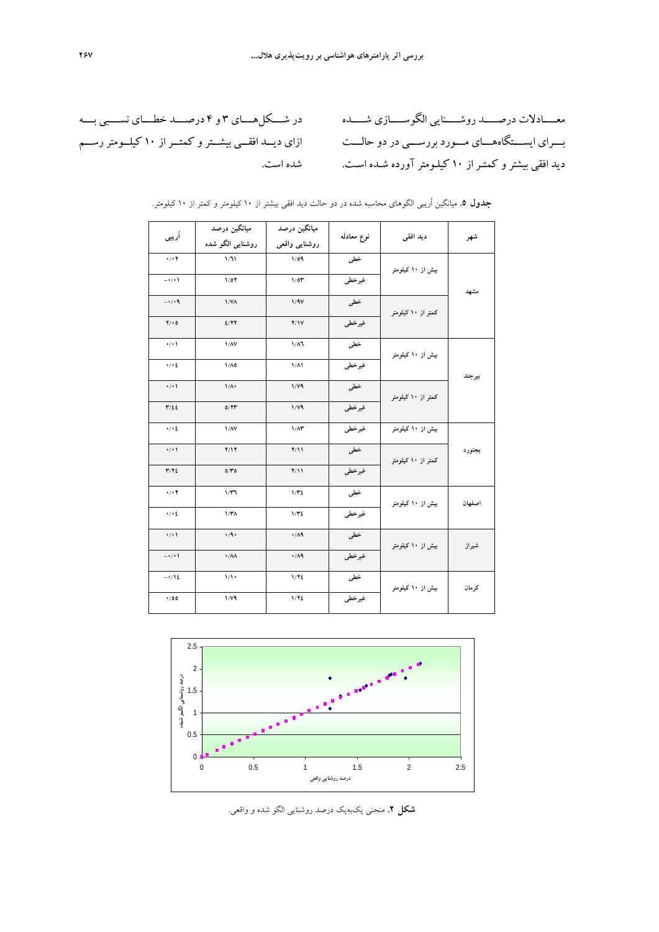معـــــادلات درصـــــد روشـــــنايي الگوســـــازي شـــــده بـــراي ايســـتگاههـــاي مـــورد بررســـي در دو حالـــت ديد افقي بيشتر و كمتـراز 10 كيلـومترآورده شـده اسـت.

در شــــكلهــــاي 3 و 4 درصــــد خطــــاي نســــبي بــــه ازاي ديــد افقــي بيشــترو كمتــراز 10 كيلــومتررســم شده است.

| آريبي                   | ميانگين درصد<br>روشنایی الگو شده | میانگین درصد<br>روشنايى واقعى | نوع معادله | ديد افقى           | شهر    |  |
|-------------------------|----------------------------------|-------------------------------|------------|--------------------|--------|--|
| $\cdot/\cdot$ Y         | 1/31                             | 1/09                          | خطى        | بیش از ۱۰ کیلومتر  |        |  |
| $-\cdot/\cdot$          | 1/07                             | 1/0T                          | غيرخطي     |                    | مشهد   |  |
| $-\cdot/(\cdot)$        | 1/N <sub>A</sub>                 | 1/9V                          | خطى        | کمتر از ۱۰ کیلومتر |        |  |
| $Y/\cdot 0$             | 2/77                             | Y/Y                           | غيرخطي     |                    |        |  |
| $\cdot$ / $\cdot$       | $1/\lambda V$                    | $1/\lambda$                   | خطى        | بیش از ۱۰ کیلومتر  |        |  |
| $\cdot/\cdot$ ٤         | $1/\Lambda$ 0                    | $1/\Lambda$                   | غيرخطي     |                    | بيرجند |  |
| $\cdot/\cdot$           | $1/\Lambda$                      | 1/Y <sub>9</sub>              | خطى        | کمتر از ۱۰ کیلومتر |        |  |
| $\mathbf{r}/\mathbf{z}$ | 0/YY                             | $1/\gamma$ ۹                  | غيرخطي     |                    |        |  |
| $\cdot/\cdot$ ٤         | $1/\lambda V$                    | $1/\Lambda$ ۳                 | غيرخطي     | بیش از ۱۰ کیلومتر  |        |  |
| $\cdot/\cdot$           | Y/Y                              | Y/11                          | خطی        | کمتر از ۱۰ کیلومتر | بجنورد |  |
| Y/YZ                    | 0/Y                              | Y/11                          | غيرخطي     |                    |        |  |
| $\cdot/\cdot$ Y         | 1/T1                             | 1/T2                          | خطى        | بیش از ۱۰ کیلومتر  | اصفهان |  |
| . / . 2                 | 1/T <sub>A</sub>                 | 1/T2                          | غيرخطي     |                    |        |  |
| $\cdot/\cdot$           | $\cdot$ /9.                      | $\cdot/\Lambda$ ٩             | خطى        | بیش از ۱۰ کیلومتر  | شيراز  |  |
| $-\cdot/\cdot$          | $\cdot/\lambda\lambda$           | .74                           | غيرخطي     |                    |        |  |
| $-112$                  | $1/\sqrt{2}$                     | 1/YE                          | خطى        | بیش از ۱۰ کیلومتر  | كرمان  |  |
| .00                     | $1/\gamma$ ۹                     | 1/72                          | غيرخطي     |                    |        |  |

**جدول .5** ميانگين اُريبي الگوهاي محاسبه شده در دو حالت ديد افقي بيشتر از 10 كيلومتر و كمتر از 10 كيلومتر.



**شكل .2** منحني يكبهيك درصد روشنايي الگو شده و واقعي.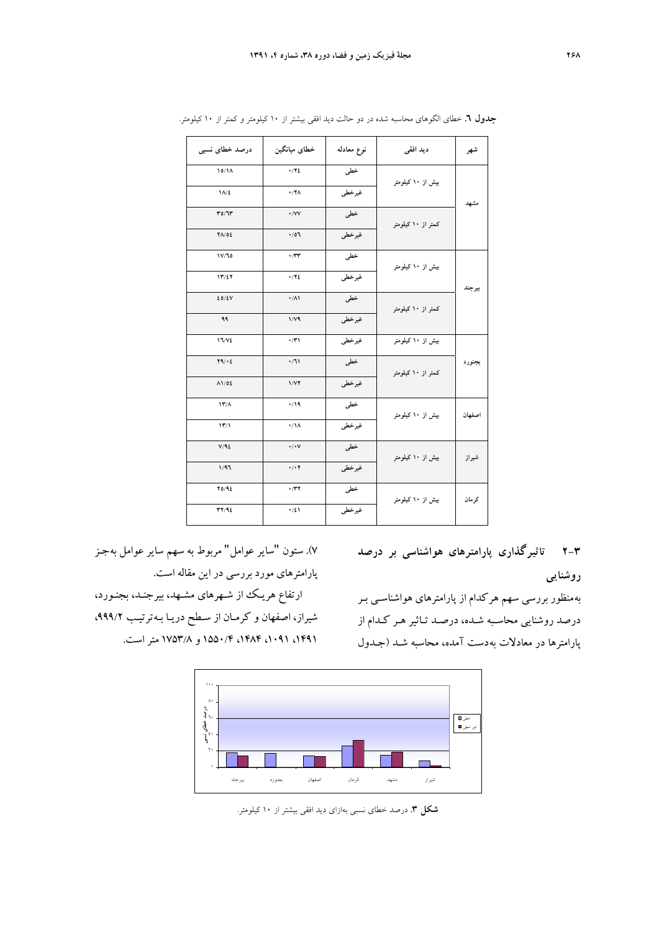| درصد خطای نسبی                     | خطاي ميانگين         | نوع معادله | ديد افقى           | شهر    |
|------------------------------------|----------------------|------------|--------------------|--------|
| 10/1A                              | $\cdot$ / Y ٤        | خطی        | بیش از ۱۰ کیلومتر  |        |
| $1/\sqrt{2}$                       | $\cdot$ /YA          | غيرخطي     |                    | مشهد   |
| T0/T                               | $\cdot$ /VV          | خطى        | کمتر از ۱۰ کیلومتر |        |
| $Y\Lambda/02$                      | .01.                 | غيرخطي     |                    |        |
| 1V/T0                              | $\cdot$ / $\tau\tau$ | خطی        | بیش از ۱۰ کیلومتر  |        |
| 15/27                              | $\cdot$ / Y ٤        | غيرخطي     |                    | بيرجند |
| 20/2V                              | $\cdot/\lambda$      | خطى        | کمتر از ۱۰ کیلومتر |        |
| ۹۹                                 | $1/\gamma$ ۹         | غيرخطي     |                    |        |
| <b>17/VE</b>                       | $\cdot$              | غيرخطي     | بیش از ۱۰ کیلومتر  |        |
| Y9/2                               | $\cdot/11$           | خطى        | کمتر از ۱۰ کیلومتر | بجنورد |
| 11/02                              | 1/YY                 | غيرخطي     |                    |        |
| $\mathbf{Y}'/\mathbf{A}$           | $\cdot$              | خطى        | بیش از ۱۰ کیلومتر  | اصفهان |
| $\mathcal{W}/\mathcal{V}$          | $\cdot/\lambda$      | غيرخطي     |                    |        |
| V/92                               | $\cdot/\cdot$ Y      | خطى        | بیش از ۱۰ کیلومتر  | شيراز  |
| 1/97                               | $\cdot/\cdot$ Y      | غيرخطي     |                    |        |
| Y0/92                              | $\cdot$ /۳۲          | خطی        | بیش از ۱۰ کیلومتر  | كرمان  |
| $\mathbf{r} \mathbf{y}/\mathbf{q}$ | $\cdot/21$           | غيرخطي     |                    |        |

**جدول .6** خطاي الگوهاي محاسبه شده در دو حالت ديد افقي بيشتر از 10 كيلومتر و كمتر از 10 كيلومتر.

**2-3 تاثيرگذاري پارامترهاي هواشناسي بر درصد روشنايي** 

به منظور بررسي سهم هر كدام از پارامترهاي هواشناسـي بـر درصد روشنايي محاسـبه شـده، درصـد تـاثير هـر كـدام از پارامترها در معادلات بهدست آمده، محاسبه شـد (جـدول

7). ستون "ساير عوامل" مربوط به سهم ساير عوامل بهجـز پارامترهاي مورد بررسي در اين مقاله است.

ارتفاع هريـك از شـهرهاي مشـهد، بيرجنـد، بجنـورد، شيراز، اصفهان و كرمـان از سـطح دريـا بـه ترتيـب ،999/2 ،1491 ،1091 ،1484 1550/4 و 1753/8 متراست.



**شكل .3** درصد خطاي نسبي بهازاي ديد افقي بيشتر از 10 كيلومتر.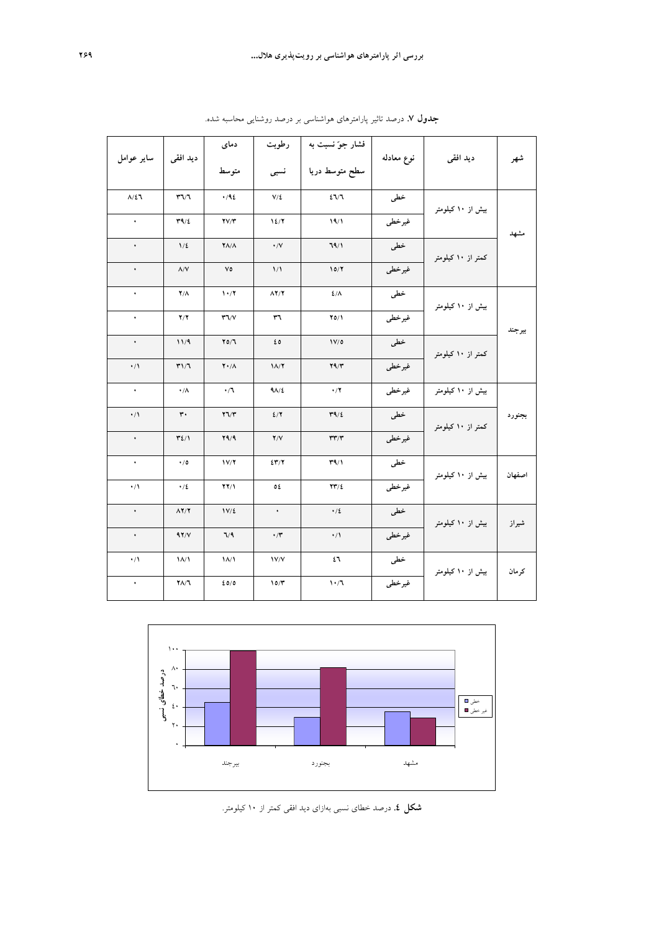| ساير عوامل       | دید افقی                          | دمای                              | رطوبت                | فشار جوّ نسبت به                  | نوع معادله | ديد افقى           | شهر    |
|------------------|-----------------------------------|-----------------------------------|----------------------|-----------------------------------|------------|--------------------|--------|
|                  |                                   | متوسط                             | نسبى                 | سطح متوسط دريا                    |            |                    |        |
| $\Lambda/\Sigma$ | $T\vee T$                         | .46                               | $V/\Sigma$           | 27/7                              | خطى        | بیش از ۱۰ کیلومتر  |        |
| $\bullet$        | T9/2                              | $\mathbf{Y}\mathbf{V}/\mathbf{Y}$ | 12/7                 | 19/1                              | غيرخطي     |                    | مشهد   |
| $\bullet$        | 1/2                               | $Y\Lambda/\Lambda$                | $\cdot/\vee$         | 79/1                              | خطى        | کمتر از ۱۰ کیلومتر |        |
| $\bullet$        | $\Lambda/V$                       | ٧٥                                | $\frac{1}{\sqrt{2}}$ | 10/Y                              | غيرخطى     |                    |        |
| $\bullet$        | $Y/\Lambda$                       | 1.7                               | $\Lambda$ Y/Y        | $2/\Lambda$                       | خطى        | بیش از ۱۰ کیلومتر  |        |
| $\bullet$        | Y/Y                               | $\Upsilon \Upsilon / V$           | ٣٦                   | $Y0/\lambda$                      | غيرخطى     |                    | بيرجند |
| $\bullet$        | 11/9                              | Y0/T                              | ٤٥                   | 1V/0                              | خطى        | کمتر از ۱۰ کیلومتر |        |
| $\cdot/1$        | T1/7                              | $Y \cdot / \Lambda$               | $1/\sqrt{7}$         | Y9/Y                              | غيرخطي     |                    |        |
| $\bullet$        | $\cdot/\Lambda$                   | $\cdot/1$                         | $9\lambda/2$         | $\cdot/7$                         | غيرخطي     | بیش از ۱۰ کیلومتر  |        |
| $\cdot/1$        | $\mathbf{r}$ .                    | 77/T                              | 2/7                  | T9/2                              | خطى        | کمتر از ۱۰ کیلومتر | بجنورد |
| $\bullet$        | $\mathbf{Y2}/\mathbf{V}$          | Y9/9                              | Y/Y                  | $\tau\tau/\tau$                   | غيرخطي     |                    |        |
| $\rightarrow$    | $\cdot/0$                         | 1V/Y                              | 247/7                | $\Upsilon$ ۹/۱                    | خطى        | بیش از ۱۰ کیلومتر  | اصفهان |
| $\cdot/1$        | .12                               | $YY/\lambda$                      | ٥٤                   | $\mathbf{Y}\mathbf{Y}/\mathbf{Z}$ | غيرخطى     |                    |        |
| $\bullet$        | $\Lambda$ $\Upsilon$ / $\Upsilon$ | $1V/\xi$                          | $\bullet$            | $\cdot/2$                         | خطى        | بیش از ۱۰ کیلومتر  | شيراز  |
| $\bullet$        | 97/V                              | 7/9                               | $\cdot$ /۳           | $\cdot/1$                         | غيرخطى     |                    |        |
| $\cdot/1$        | $\Lambda/\Lambda$                 | $\frac{1}{\sqrt{}}$               | V/V                  | ٤٦                                | خطى        | بیش از ۱۰ کیلومتر  | كرمان  |
| $\bullet$        | $Y\Lambda/T$                      | 20/0                              | 10/T                 | 1.7                               | غيرخطى     |                    |        |
|                  |                                   |                                   |                      |                                   |            |                    |        |

**جدول .7** درصد تاثير پارامترهاي هواشناسي بر درصد روشنايي محاسبه شده.



 **شكل .4** درصد خطاي نسبي بهازاي ديد افقي كمتر از <sup>10</sup> كيلومتر.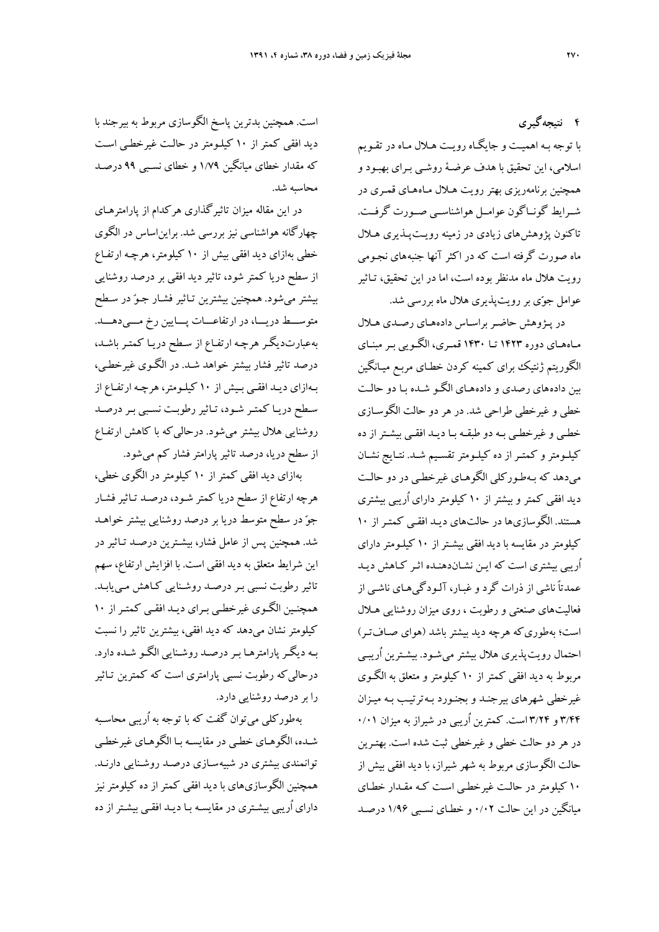**4 نتيجهگيري** 

با توجه بـه اهميـت و جايگـاه رويـت هـلال مـاه در تقـويم اسلامي، اين تحقيق با هدف عرضـة روشـي بـراي بهبـود و همچنين برنامهريزي بهتر رويت هـلال مـاههـاي قمـري در شــرايط گونــاگون عوامــل هواشناســي صــورت گرفــت. تاكنون پژوهشهاي زيادي در زمينه رويـتپـذيري هـلال ماه صورت گرفته است كه در اكثر آنها جنبههاي نجـومي رويت هلال ماه مدنظر بوده است، اما در اين تحقيق، تـاثير عوامل جوي بررويتپذيري هلال ماه بررسي شد.

در پـژوهش حاضـربراسـاس دادههـاي رصـدي هـلال مـاههـاي دوره 1423 تـا 1430 قمـري، الگـويي بـرمبنـاي الگوريتم ژنتيك براي كمينه كردن خطـاي مربـع ميـانگين بين دادههاي رصدي و دادههـاي الگـو شـده بـا دو حالـت خطي و غيرخطي طراحي شد. در هر دو حالت الگوسـازي خطـي وغيرخطـي بـه دو طبقـه بـا ديـد افقـي بيشـتراز ده كيلـومترو كمتـراز ده كيلـومترتقسـيم شـد. نتـايج نشـان ميدهد كه بـهطـوركلي الگوهـاي غيرخطـي در دو حالـت ديد افقي كمتر و بيشتر از 10 كيلومتر داراي اُريبي بيشتري هستند. الگوسازيها در حالتهاي ديـد افقـي كمتـر از 10 كيلومتر در مقايسه با ديد افقي بيشـتراز 10 كيلـومترداراي اُريبي بيشتري است كه ايـن نشـاندهنـده اثـر كـاهش ديـد عمدتاً ناشي از ذرات گرد وغبـار، آلـودگيهـاي ناشـي از فعاليتهاي صنعتي و رطوبت ، روي ميزان روشنايي هـلال است؛ بهطوريكه هرچه ديد بيشتر باشد (هواي صـافتـر) احتمال رويتپذيري هلال بيشتر ميشـود. بيشـترين اُريبـي مربوط به ديد افقي كمتر از 10 كيلومتر و متعلق به الگـوي غيرخطي شهرهاي بيرجنـد و بجنـورد بـهترتيـب بـه ميـزان 3/44 و 3/24 است. كمترين اُريبي در شيراز به ميزان 0/01 در هر دو حالت خطي و غيرخطي ثبت شده است. بهتـرين حالت الگوسازي مربوط به شهر شيراز، با ديد افقي بيش از 10 كيلومتر در حالـت غيرخطـي اسـت كـه مقـدار خطـاي ميانگين در اين حالت 0/02 و خطـاي نسـبي 1/96 درصـد

است. همچنين بدترين پاسخ الگوسازي مربوط به بيرجند با ديد افقي كمتر از 10 كيلـومتر در حالـت غيرخطـي اسـت كه مقدار خطاي ميانگين 1/79 و خطاي نسـبي 99 درصـد محاسبه شد.

در اين مقاله ميزان تاثيرگذاري هركدام از پارامترهـاي چهارگانه هواشناسي نيز بررسي شد. برايناساس در الگوي خطي بهازاي ديد افقي بيش از 10 كيلومتر، هرچـه ارتفـاع از سطح دريا كمتر شود، تاثير ديد افقي بر درصد روشنايي بيشتر ميشود. همچنين بيشترين تـاثير فشـار جـو در سـطح متوســط دريـــا، در ارتفاعـــات پـــايين رخ مـــىدهـــد. بهعبارتديگـر هرچـه ارتفـاع از سـطح دريـا كمتـر باشـد، درصد تاثير فشار بيشتر خواهد شـد. در الگـوي غيرخطـي، بـهازاي ديـد افقـي بـيش از 10 كيلـومتر، هرچـه ارتفـاع از سـطح دريـا كمتـر شـود، تـاثيررطوبـت نسـبي بـردرصـد روشنايي هلال بيشتر ميشود. درحاليكه با كاهش ارتفـاع از سطح دريا، درصد تاثير پارامتر فشار كم مي شود.

بهازاي ديد افقي كمتر از 10 كيلومتر در الگوي خطي، هرچه ارتفاع از سطح دريا كمتر شـود، درصـد تـاثير فشـار جو در سطح متوسط دريا بر درصد روشنايي بيشتر خواهـد شد. همچنين پس از عامل فشار، بيشـترين درصـد تـاثير در اين شرايط متعلق به ديد افقي است. با افزايش ارتفاع، سهم تاثير رطوبت نسبي بـر درصـد روشـنايي كـاهش مـييابـد. همچنـين الگـوي غيرخطـي بـراي ديـد افقـي كمتـراز 10 كيلومتر نشان ميدهد كه ديد افقي، بيشترين تاثير را نسبت بـه ديگـرپارامترهـا بـردرصـد روشـنايي الگـو شـده دارد. درحاليكه رطوبت نسبي پارامتري است كه كمترين تـاثير را بردرصد روشنايي دارد.

بهطوركلي ميتوان گفت كه با توجه به اُريبي محاسـبه شـده، الگوهـاي خطـي در مقايسـه بـا الگوهـاي غيرخطـي توانمندي بيشتري در شبيهسـازي درصـد روشـنايي دارنـد. همچنين الگوسازيهاي با ديد افقي كمتر از ده كيلومتر نيز داراي اُريبي بيشـتري در مقايسـه بـا ديـد افقـي بيشـتراز ده